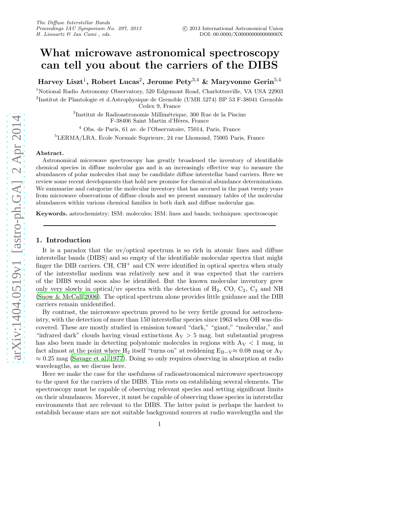# What microwave astronomical spectroscopy can tell you about the carriers of the DIBS

Harvey Liszt $^1,$  Robert Lucas $^2,$  Jerome Pety $^{3,4}$  & Maryvonne Gerin $^{5,4}$ 

<sup>1</sup>Notional Radio Astronomy Observatory, 520 Edgemont Road, Charlottesville, VA USA 22903 2 Institut de Plantologie et d.Astrophysique de Grenoble (UMR 5274) BP 53 F-38041 Grenoble Cedex 9, France

> ${}^{3}$ Institut de Radioastronomie Millimétrique, 300 Rue de la Piscine F-38406 Saint Martin d'Hères, France

<sup>4</sup> Obs. de Paris, 61 av. de l'Observatoire, 75014, Paris, France

<sup>5</sup>LERMA/LRA, Ecole Normale Suprieure, 24 rue Lhomond, 75005 Paris, France

#### Abstract.

Astronomical microwave spectroscopy has greatly broadened the inventory of identifiable chemical species in diffuse molecular gas and is an increasingly effective way to measure the abundances of polar molecules that may be candidate diffuse interstellar band carriers. Here we review some recent developments that hold new promise for chemical abundance determinations. We summarize and categorize the molecular inventory that has accrued in the past twenty years from microwave observations of diffuse clouds and we present summary tables of the molecular abundances within various chemical families in both dark and diffuse molecular gas.

Keywords. astrochemistry; ISM: molecules; ISM: lines and bands; techniques: spectroscopic

# 1. Introduction

It is a paradox that the uv/optical spectrum is so rich in atomic lines and diffuse interstellar bands (DIBS) and so empty of the identifiable molecular spectra that might finger the DIB carriers. CH,  $CH<sup>+</sup>$  and CN were identified in optical spectra when study of the interstellar medium was relatively new and it was expected that the carriers of the DIBS would soon also be identified. But the known molecular inventory grew only very slowly in optical/uv spectra with the detection of  $H_2$ , CO,  $C_2$ ,  $C_3$  and NH [\(Snow & McCall 2006\)](#page-7-0). The optical spectrum alone provides little guidance and the DIB carriers remain unidentified.

By contrast, the microwave spectrum proved to be very fertile ground for astrochemistry, with the detection of more than 150 interstellar species since 1963 when OH was discovered. These are mostly studied in emission toward "dark," "giant," "molecular," and "infrared dark" clouds having visual extinctions  $A_V > 5$  mag. but substantial progress has also been made in detecting polyatomic molecules in regions with  $A_V < 1$  mag, in fact almost at the point where H<sub>2</sub> itself "turns on" at reddening  $E_{B-V} \approx 0.08$  mag or  $A_V$  $\approx 0.25$  mag [\(Savage et al. 1977\)](#page-6-0). Doing so only requires observing in absorption at radio wavelengths, as we discuss here.

Here we make the case for the usefulness of radioastronomical microwave spectroscopy to the quest for the carriers of the DIBS. This rests on establishing several elements. The spectroscopy must be capable of observing relevant species and setting significant limits on their abundances. Morever, it must be capable of observing those species in interstellar environments that are relevant to the DIBS. The latter point is perhaps the hardest to establish because stars are not suitable background sources at radio wavelengths and the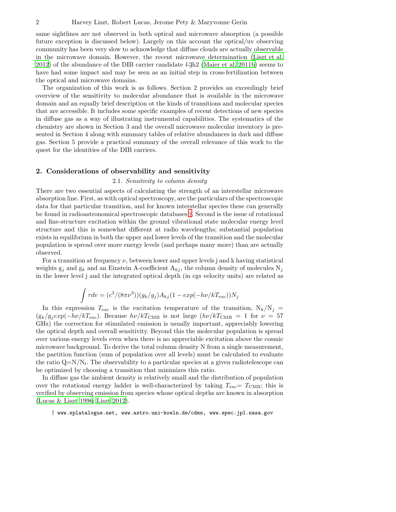same sightlines are not observed in both optical and microwave absorption (a possible future exception is discussed below). Largely on this account the optical/uv observing community has been very slow to acknowledge that diffuse clouds are actually observable in the microwave domain. However, the recent microwave determination [\(Liszt et al.](#page-6-1) [2012\)](#page-6-1) of the abundance of the DIB carrier candidate  $\ell$ -3h2 [\(Maier et al. 2011b](#page-6-2)) seems to have had some impact and may be seen as an initial step in cross-fertilization between the optical and microwave domains.

The organization of this work is as follows. Section 2 provides an exceedingly brief overview of the sensitivity to molecular abundance that is available in the microwave domain and an equally brief description ot the kinds of transitions and molecular species that are accessible. It includes some specific examples of recent detections of new species in diffuse gas as a way of illustrating instrumental capabilities. The systematics of the chemistry are shown in Section 3 and the overall microwave molecular inventory is presented in Section 4 along with summary tables of relative abundances in dark and diffuse gas. Section 5 provide a practical summary of the overall relevance of this work to the quest for the identities of the DIB carriers.

# 2. Considerations of observability and sensitivity

# 2.1. Sensitivity to column density

There are two essential aspects of calculating the strength of an interstellar microwave absorption line. First, as with optical spectroscopy, are the particulars of the spectroscopic data for that particular transition, and for known interstellar species these can generally be found in radioastronomical spectroscopic databases [†](#page-1-0). Second is the issue of rotational and fine-structure excitation within the ground vibrational state molecular energy level structure and this is somewhat different at radio wavelengths; substantial population exists in equilibrium in both the upper and lower levels of the transition and the molecular population is spread over more energy levels (and perhaps many more) than are actually observed.

For a transition at frequency  $\nu$ , between lower and upper levels j and k having statistical weights  $g_i$  and  $g_k$  and an Einstein A-coefficient  $A_{ki}$ , the column density of molecules  $N_i$ in the lower level j and the integrated optical depth (in cgs velocity units) are related as

$$
\int \tau dv = (c^3/(8\pi\nu^3))(g_k/g_j)A_{kj}(1-exp(-h\nu/kT_{\rm exc}))N_j
$$

In this expression  $T_{\text{exc}}$  is the excitation temperature of the transition,  $N_k/N_j =$  $(g_k/g_jexp(-h\nu/kT_{\rm exc})$ . Because  $h\nu/kT_{\rm CMB}$  is not large  $(h\nu/kT_{\rm CMB} = 1$  for  $\nu = 57$ GHz) the correction for stimulated emission is usually important, appreciably lowering the optical depth and overall sensitivity. Beyond this the molecular population is spread over various energy levels even when there is no appreciable excitation above the cosmic microwave background. To derive the total column density N from a single measurement, the partition function (sum of population over all levels) must be calculated to evaluate the ratio  $Q=N/N_l$ . The observability to a particular species at a given radiotelescope can be optimized by choosing a transition that minimizes this ratio.

In diffuse gas the ambient density is relatively small and the distribution of population over the rotational energy ladder is well-characterized by taking  $T_{\text{exc}}=T_{\text{CMB}}$ ; this is verified by observing emission from species whose optical depths are known in absorption [\(Lucas & Liszt 1996;](#page-6-3) [Liszt 2012\)](#page-6-4).

<span id="page-1-0"></span>† www.splatalogue.net, www.astro.uni-koeln.de/cdms, www.spec.jpl.nasa.gov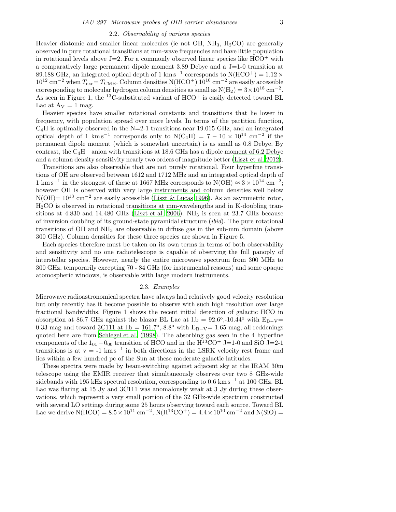# 2.2. Observability of various species

Heavier diatomic and smaller linear molecules (ie not OH,  $NH_3$ ,  $H_2CO$ ) are generally observed in pure rotational transitions at mm-wave frequencies and have little population in rotational levels above  $J=2$ . For a commonly observed linear species like  $HCO<sup>+</sup>$  with a comparatively large permanent dipole moment  $3.89$  Debye and a J=1-0 transition at 89.188 GHz, an integrated optical depth of 1 km s<sup>-1</sup> corresponds to N(HCO<sup>+</sup>) = 1.12 ×  $10^{12}$  cm<sup>-2</sup> when  $T_{\text{exc}} = T_{\text{CMB}}$ . Column densities N(HCO<sup>+</sup>) 10<sup>10</sup> cm<sup>-2</sup> are easily accessible corresponding to molecular hydrogen column densities as small as  $N(H_2) = 3 \times 10^{18}$  cm<sup>-2</sup>. As seen in Figure 1, the <sup>13</sup>C-substituted variant of  $HCO<sup>+</sup>$  is easily detected toward BL Lac at  $A_V = 1$  mag.

Heavier species have smaller rotational constants and transitions that lie lower in frequency, with population spread over more levels. In terms of the partition function,  $C_4H$  is optimally observed in the N=2-1 transitions near 19.015 GHz, and an integrated optical depth of 1 km s<sup>-1</sup> corresponds only to N(C<sub>4</sub>H) = 7 – 10 × 10<sup>14</sup> cm<sup>-2</sup> if the permanent dipole moment (which is somewhat uncertain) is as small as 0.8 Debye. By contrast, the C4H<sup>−</sup> anion with transitions at 18.6 GHz has a dipole moment of 6.2 Debye and a column density sensitivity nearly two orders of magnitude better [\(Liszt et al. 2012\)](#page-6-1).

Transitions are also observable that are not purely rotational. Four hyperfine transitions of OH are observed between 1612 and 1712 MHz and an integrated optical depth of 1 km s<sup>-1</sup> in the strongest of these at 1667 MHz corresponds to N(OH)  $\approx 3 \times 10^{14}$  cm<sup>-2</sup>; however OH is observed with very large instruments and column densities well below  $N(OH)=10^{13}$  cm<sup>-2</sup> are easily accessible [\(Liszt & Lucas 1996\)](#page-6-5). As an asymmetric rotor, H2CO is observed in rotational transitions at mm-wavelengths and in K-doubling transitions at  $4.830$  and  $14.480$  GHz [\(Liszt et al. 2006](#page-6-6)). NH<sub>3</sub> is seen at  $23.7$  GHz because of inversion doubling of its ground-state pyramidal structure (ibid). The pure rotational transitions of OH and NH<sup>3</sup> are observable in diffuse gas in the sub-mm domain (above 300 GHz). Column densities for these three species are shown in Figure 5.

Each species therefore must be taken on its own terms in terms of both observability and sensitivity and no one radiotelescope is capable of observing the full panoply of interstellar species. However, nearly the entire microwave spectrum from 300 MHz to 300 GHz, temporarily excepting 70 - 84 GHz (for instrumental reasons) and some opaque atomospheric windows, is observable with large modern instruments.

# 2.3. Examples

Microwave radioastronomical spectra have always had relatively good velocity resolution but only recently has it become possible to observe with such high resolution over large fractional bandwidths. Figure 1 shows the recent initial detection of galactic HCO in absorption at 86.7 GHz against the blazar BL Lac at  $l,b = 92.6^{\circ},-10.44^{\circ}$  with  $E_{B-V}$ 0.33 mag and toward 3C111 at  $l,b = 161.7^{\circ}$ ,-8.8° with  $E_{B-V} = 1.65$  mag; all reddenings quoted here are from [Schlegel et al. \(1998\)](#page-6-7). The absorbing gas seen in the 4 hyperfine components of the  $1_{01} - 0_{00}$  transition of HCO and in the H<sup>13</sup>CO<sup>+</sup> J=1-0 and SiO J=2-1 transitions is at  $v = -1$  km s<sup>-1</sup> in both directions in the LSRK velocity rest frame and lies within a few hundred pc of the Sun at these moderate galactic latitudes.

These spectra were made by beam-switching against adjacent sky at the IRAM 30m telescope using the EMIR receiver that simultaneously observes over two 8 GHz-wide sidebands with 195 kHz spectral resolution, corresponding to  $0.6 \text{ km s}^{-1}$  at 100 GHz. BL Lac was flaring at 15 Jy and 3C111 was anomalously weak at 3 Jy during these observations, which represent a very small portion of the 32 GHz-wide spectrum constructed with several LO settings during some 25 hours observing toward each source. Toward BL Lac we derive  $N(HCO) = 8.5 \times 10^{11}$  cm<sup>-2</sup>,  $N(H^{13}CO^{+}) = 4.4 \times 10^{10}$  cm<sup>-2</sup> and  $N(SIO) =$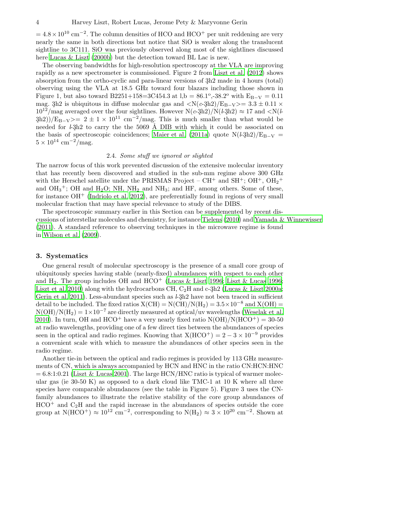$= 4.8 \times 10^{10}$  cm<sup>-2</sup>. The column densities of HCO and HCO<sup>+</sup> per unit reddening are very nearly the same in both directions but notice that SiO is weaker along the translucent sightline to 3C111. SiO was previously observed along most of the sightlines discussed here [Lucas & Liszt \(2000b\)](#page-6-8) but the detection toward BL Lac is new.

The observing bandwidths for high-resolution spectroscopy at the VLA are improving rapidly as a new spectrometer is commissioned. Figure 2 from [Liszt et](#page-6-1) al. [\(2012\)](#page-6-1) shows absorption from the ortho-cyclic and para-linear versions of  $3h2$  made in 4 hours (total) observing using the VLA at 18.5 GHz toward four blazars including those shown in Figure 1, but also toward B2251+158=3C454.3 at l,b =  $86.1^{\circ}$ , -38.2° with  $E_{B-V} = 0.11$ mag. 3h2 is ubiquitous in diffuse molecular gas and  $\langle N(c-3h2)/E_{B-V}\rangle = 3.3 \pm 0.11 \times$  $10^{12}/\text{mag}$  averaged over the four sightlines. However  $N(c-3h2)/N(l-3h2) \approx 17$  and  $\langle N(l-3h2)/N(l-3h2) \rangle$  $(3h2))/E_{B-V}>= 2 \pm 1 \times 10^{11}$  cm<sup>-2</sup>/mag. This is much smaller than what would be needed for  $\ell_3 h2$  to carry the the 5069 Å DIB with which it could be associated on the basis of spectroscopic coincidences; [Maier et al. \(2011a\)](#page-6-9) quote  $N(k-3h2)/E_{B-V}$  $5 \times 10^{14}$  cm<sup>-2</sup>/mag.

# 2.4. Some stuff we ignored or slighted

The narrow focus of this work prevented discussion of the extensive molecular inventory that has recently been discovered and studied in the sub-mm regime above 300 GHz with the Herschel satellite under the PRISMAS Project –  $\text{CH}^+$  and  $\text{SH}^+$ ;  $\text{OH}^+$ ,  $\text{OH}_2^+$ and  $OH_3^+$ ; OH and  $H_2O$ ; NH, NH<sub>2</sub> and NH<sub>3</sub>; and HF, among others. Some of these, for instance  $OH^+$  [\(Indriolo et al. 2012\)](#page-6-10), are preferentially found in regions of very small molecular fraction that may have special relevance to study of the DIBS.

The spectroscopic summary earlier in this Section can be supplemented by recent discussions of interstellar molecules and chemistry, for instance [Tielens \(2010\)](#page-7-1) and [Yamada & Winnewisser](#page-7-2) [\(2011\)](#page-7-2). A standard reference to observing techniques in the microwave regime is found in [Wilson et al. \(2009\)](#page-7-3).

# 3. Systematics

One general result of molecular spectroscopy is the presence of a small core group of ubiquitously species having stable (nearly-fixed) abundances with respect to each other and  $H_2$ . The group includes OH and  $HCO<sup>+</sup>$  [\(Lucas & Liszt 1996;](#page-6-3) [Liszt & Lucas 1996;](#page-6-5) [Liszt et al. 2010\)](#page-6-11) along with the hydrocarbons CH,  $C_2H$  and c-3h2 [\(Lucas & Liszt 2000a;](#page-6-12) [Gerin et al. 2011\)](#page-6-13). Less-abundant species such as  $l-3h2$  have not been traced in sufficient detail to be included. The fixed ratios  $X(CH) = N(CH)/N(H_2) = 3.5 \times 10^{-8}$  and  $X(OH) =$  $N(OH)/N(H<sub>2</sub>) = 1 \times 10^{-7}$  are directly measured at optical/uv wavelengths [\(Weselak et al.](#page-7-4) [2010\)](#page-7-4). In turn, OH and HCO<sup>+</sup> have a very nearly fixed ratio  $N(OH)/N(HCO^+) = 30-50$ at radio wavelengths, providing one of a few direct ties between the abundances of species seen in the optical and radio regimes. Knowing that  $X(HCO^+) = 2 - 3 \times 10^{-9}$  provides a convenient scale with which to measure the abundances of other species seen in the radio regime.

Another tie-in between the optical and radio regimes is provided by 113 GHz measurements of CN, which is always accompanied by HCN and HNC in the ratio CN:HCN:HNC  $= 6.8:1:0.21$  [\(Liszt & Lucas 2001\)](#page-6-14). The large HCN/HNC ratio is typical of warmer molecular gas (ie 30-50 K) as opposed to a dark cloud like TMC-1 at 10 K where all three species have comparable abundances (see the table in Figure 5). Figure 3 uses the CNfamily abundances to illustrate the relative stability of the core group abundances of  $HCO<sup>+</sup>$  and  $C<sub>2</sub>H$  and the rapid increase in the abundances of species outside the core group at N(HCO<sup>+</sup>)  $\approx 10^{12}$  cm<sup>-2</sup>, corresponding to N(H<sub>2</sub>)  $\approx 3 \times 10^{20}$  cm<sup>-2</sup>. Shown at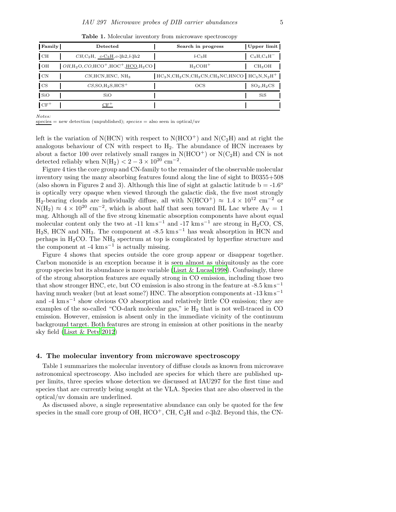|  |  | <b>Table 1.</b> Molecular inventory from microwave spectroscopy |
|--|--|-----------------------------------------------------------------|
|  |  |                                                                 |

| <b>Family</b> | Detected                                               | Search in progress                                      | Upper limit        |
|---------------|--------------------------------------------------------|---------------------------------------------------------|--------------------|
| CН            | $CH_1C_2H$ , $c$ -C <sub>3</sub> H, $c$ -3h2, $l$ -3h2 | $l$ -C <sub>3</sub> H                                   | $C_4H$ , $C_4H^-$  |
| OH            | $OH, H_2O, CO, HCO^+, HOC^+, HCO, H_2CO$               | $H_2COH^+$                                              | CH <sub>3</sub> OH |
| $\rm CN$      | CN, HCN, HNC, NH <sub>3</sub>                          | $HC_3N, CH_2CN, CH_3CN, CH_3NC, HNCO$   $HC_5N, N_2H^+$ |                    |
| <b>CS</b>     | $CS$ , SO, $H_2S$ , HCS <sup>+</sup>                   | $_{\rm OCS}$                                            | $SO_2,H_2CS$       |
| SiO           | SiO                                                    |                                                         | SiS                |
| $CF^+$        |                                                        |                                                         |                    |

Notes:

 $species = new detection (unpublished); species = also seen in optical/uv$ 

left is the variation of N(HCN) with respect to  $N(HCO<sup>+</sup>)$  and  $N(C<sub>2</sub>H)$  and at right the analogous behaviour of  $CN$  with respect to  $H_2$ . The abundance of  $HCN$  increases by about a factor 100 over relatively small ranges in  $N(HCO^+)$  or  $N(C_2H)$  and CN is not detected reliably when  $N(H_2) < 2 - 3 \times 10^{20}$  cm<sup>-2</sup>.

Figure 4 ties the core group and CN-family to the remainder of the observable molecular inventory using the many absorbing features found along the line of sight to B0355+508 (also shown in Figures 2 and 3). Although this line of sight at galactic latitude  $b = -1.6^{\circ}$ is optically very opaque when viewed through the galactic disk, the five most strongly H<sub>2</sub>-bearing clouds are individually diffuse, all with N(HCO<sup>+</sup>)  $\approx 1.4 \times 10^{12}$  cm<sup>-2</sup> or  $N(H_2) \approx 4 \times 10^{20}$  cm<sup>-2</sup>, which is about half that seen toward BL Lac where  $A_V = 1$ mag. Although all of the five strong kinematic absorption components have about equal molecular content only the two at -11 km s<sup>-1</sup> and -17 km s<sup>-1</sup> are strong in H<sub>2</sub>CO, CS, H<sub>2</sub>S, HCN and NH<sub>3</sub>. The component at -8.5 km s<sup>-1</sup> has weak absorption in HCN and perhaps in  $H_2CO$ . The  $NH_3$  spectrum at top is complicated by hyperfine structure and the component at -4  $\text{km s}^{-1}$  is actually missing.

Figure 4 shows that species outside the core group appear or disappear together. Carbon monoxide is an exception because it is seen almost as ubiquitously as the core group species but its abundance is more variable [\(Liszt & Lucas 1998\)](#page-6-15). Confusingly, three of the strong absorption features are equally strong in CO emission, including those two that show stronger HNC, etc, but CO emission is also strong in the feature at  $-8.5 \text{ km s}^{-1}$ having much weaker (but at least some?) HNC. The absorption components at -13 km s<sup>−</sup><sup>1</sup> and -4 km s<sup>−</sup><sup>1</sup> show obvious CO absorption and relatively little CO emission; they are examples of the so-called "CO-dark molecular gas," ie  $H_2$  that is not well-traced in CO emission. However, emission is absent only in the immediate vicinity of the continuum background target. Both features are strong in emission at other positions in the nearby sky field [\(Liszt & Pety 2012\)](#page-6-16)

#### 4. The molecular inventory from microwave spectroscopy

Table 1 summarizes the molecular inventory of diffuse clouds as known from microwave astronomical spectroscopy. Also included are species for which there are published upper limits, three species whose detection we discussed at IAU297 for the first time and species that are currently being sought at the VLA. Species that are also observed in the optical/uv domain are underlined.

As discussed above, a single representative abundance can only be quoted for the few species in the small core group of OH,  $HCO<sup>+</sup>$ , CH,  $C_2H$  and  $c$ -3h2. Beyond this, the CN-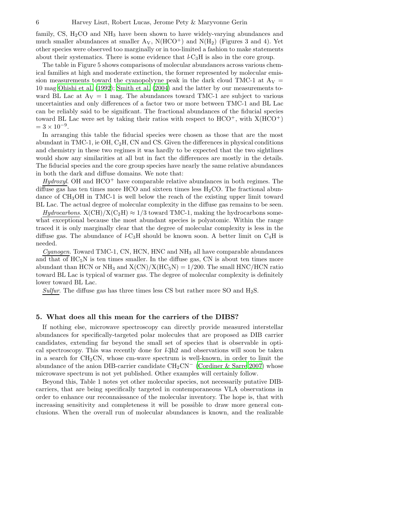family, CS,  $H_2CO$  and  $NH_3$  have been shown to have widely-varying abundances and much smaller abundances at smaller  $A_V$ ,  $N(HCO^+)$  and  $N(H_2)$  (Figures 3 and 4). Yet other species were observed too marginally or in too-limited a fashion to make statements about their systematics. There is some evidence that  $l\text{-}C_3H$  is also in the core group.

The table in Figure 5 shows comparisons of molecular abundances across various chemical families at high and moderate extinction, the former represented by molecular emission measurements toward the cyanopolyyne peak in the dark cloud TMC-1 at  $A_V =$ 10 mag [Ohishi et al. \(1992\)](#page-6-17); [Smith et al. \(2004\)](#page-7-5) and the latter by our measurements toward BL Lac at  $A_V = 1$  mag. The abundances toward TMC-1 are subject to various uncertainties and only differences of a factor two or more between TMC-1 and BL Lac can be reliably said to be significant. The fractional abundances of the fiducial species toward BL Lac were set by taking their ratios with respect to  $HCO^+$ , with  $X(HCO^+)$  $= 3 \times 10^{-9}$ .

In arranging this table the fiducial species were chosen as those that are the most abundant in TMC-1, ie OH,  $C_2H$ , CN and CS. Given the differences in physical conditions and chemistry in these two regimes it was hardly to be expected that the two sightlines would show any similarities at all but in fact the differences are mostly in the details. The fiducial species and the core group species have nearly the same relative abundances in both the dark and diffuse domains. We note that:

 $Hydroxyl$ . OH and  $HCO<sup>+</sup>$  have comparable relative abundances in both regimes. The diffuse gas has ten times more HCO and sixteen times less  $H_2CO$ . The fractional abundance of  $CH<sub>3</sub>OH$  in TMC-1 is well below the reach of the existing upper limit toward BL Lac. The actual degree of molecular complexity in the diffuse gas remains to be seen.

 $Hydrocarbons. X(CH)/X(C<sub>2</sub>H) \approx 1/3$  toward TMC-1, making the hydrocarbons somewhat exceptional because the most abundant species is polyatomic. Within the range traced it is only marginally clear that the degree of molecular complexity is less in the diffuse gas. The abundance of  $l$ -C<sub>3</sub>H should be known soon. A better limit on C<sub>4</sub>H is needed.

 $Cyanogen.$  Toward TMC-1, CN, HCN, HNC and  $NH<sub>3</sub>$  all have comparable abundances and that of  $HC_5N$  is ten times smaller. In the diffuse gas, CN is about ten times more abundant than HCN or NH<sub>3</sub> and  $X(CN)/X(HC_5N) = 1/200$ . The small HNC/HCN ratio toward BL Lac is typical of warmer gas. The degree of molecular complexity is definitely lower toward BL Lac.

Sulfur. The diffuse gas has three times less CS but rather more SO and  $H_2S$ .

#### 5. What does all this mean for the carriers of the DIBS?

If nothing else, microwave spectroscopy can directly provide measured interstellar abundances for specifically-targeted polar molecules that are proposed as DIB carrier candidates, extending far beyond the small set of species that is observable in optical spectroscopy. This was recently done for  $\ell_3 h2$  and observations will soon be taken in a search for  $CH<sub>2</sub>CN$ , whose cm-wave spectrum is well-known, in order to limit the abundance of the anion DIB-carrier candidate  $\text{CH}_2\text{CN}^-$  [\(Cordiner & Sarre 2007\)](#page-6-18) whose microwave spectrum is not yet published. Other examples will certainly follow.

Beyond this, Table 1 notes yet other molecular species, not necessarily putative DIBcarriers, that are being specifically targeted in contemporaneous VLA observations in order to enhance our reconnaissance of the molecular inventory. The hope is, that with increasing sensitivity and completeness it will be possible to draw more general conclusions. When the overall run of molecular abundances is known, and the realizable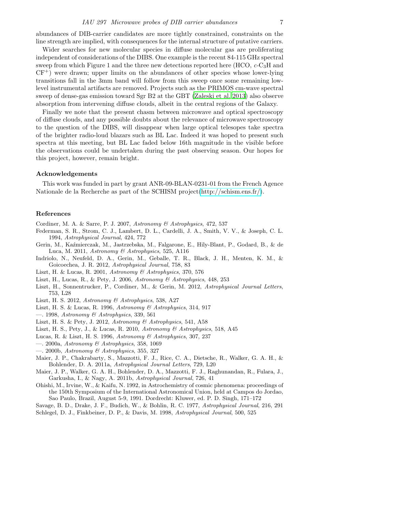abundances of DIB-carrier candidates are more tightly constrained, constraints on the line strength are implied, with consequences for the internal structure of putative carriers.

Wider searches for new molecular species in diffuse molecular gas are proliferating independent of considerations of the DIBS. One example is the recent 84-115 GHz spectral sweep from which Figure 1 and the three new detections reported here  $(HCO, c-C<sub>3</sub>H)$  and  $CF^+$ ) were drawn; upper limits on the abundances of other species whose lower-lying transitions fall in the 3mm band will follow from this sweep once some remaining lowlevel instrumental artifacts are removed. Projects such as the PRIMOS cm-wave spectral sweep of dense-gas emission toward Sgr B2 at the GBT [\(Zaleski et al. 2013\)](#page-7-6) also observe absorption from intervening diffuse clouds, albeit in the central regions of the Galaxy.

Finally we note that the present chasm between microwave and optical spectroscopy of diffuse clouds, and any possible doubts about the relevance of microwave spectroscopy to the question of the DIBS, will disappear when large optical telesopes take spectra of the brighter radio-loud blazars such as BL Lac. Indeed it was hoped to present such spectra at this meeting, but BL Lac faded below 16th magnitude in the visible before the observations could be undertaken during the past observing season. Our hopes for this project, however, remain bright.

# Acknowledgements

This work was funded in part by grant ANR-09-BLAN-0231-01 from the French Agence Nationale de la Recherche as part of the SCHISM project[\(http://schism.ens.fr/\)](http://schism.ens.fr/).

# References

- <span id="page-6-18"></span>Cordiner, M. A. & Sarre, P. J. 2007, Astronomy & Astrophysics, 472, 537
- <span id="page-6-19"></span>Federman, S. R., Strom, C. J., Lambert, D. L., Cardelli, J. A., Smith, V. V., & Joseph, C. L. 1994, Astrophysical Journal, 424, 772
- <span id="page-6-13"></span>Gerin, M., Kaźmierczak, M., Jastrzebska, M., Falgarone, E., Hily-Blant, P., Godard, B., & de Luca, M. 2011, Astronomy & Astrophysics, 525, A116
- <span id="page-6-10"></span>Indriolo, N., Neufeld, D. A., Gerin, M., Geballe, T. R., Black, J. H., Menten, K. M., & Goicoechea, J. R. 2012, Astrophysical Journal, 758, 83
- <span id="page-6-14"></span>Liszt, H. & Lucas, R. 2001, Astronomy & Astrophysics, 370, 576
- <span id="page-6-6"></span>Liszt, H., Lucas, R., & Pety, J. 2006, Astronomy & Astrophysics, 448, 253
- <span id="page-6-1"></span>Liszt, H., Sonnentrucker, P., Cordiner, M., & Gerin, M. 2012, Astrophysical Journal Letters, 753, L28
- <span id="page-6-4"></span>Liszt, H. S. 2012, Astronomy & Astrophysics, 538, A27
- <span id="page-6-5"></span>Liszt, H. S. & Lucas, R. 1996, Astronomy & Astrophysics, 314, 917
- <span id="page-6-15"></span> $-$ . 1998, Astronomy & Astrophysics, 339, 561
- <span id="page-6-16"></span>Liszt, H. S. & Pety, J. 2012, Astronomy & Astrophysics, 541, A58
- <span id="page-6-11"></span>Liszt, H. S., Pety, J., & Lucas, R. 2010, Astronomy & Astrophysics, 518, A45
- <span id="page-6-3"></span>Lucas, R. & Liszt, H. S. 1996, Astronomy & Astrophysics, 307, 237
- <span id="page-6-12"></span> $-$ . 2000a, Astronomy & Astrophysics, 358, 1069
- <span id="page-6-8"></span> $-$ . 2000b, Astronomy & Astrophysics, 355, 327
- <span id="page-6-9"></span>Maier, J. P., Chakrabarty, S., Mazzotti, F. J., Rice, C. A., Dietsche, R., Walker, G. A. H., & Bohlender, D. A. 2011a, Astrophysical Journal Letters, 729, L20
- <span id="page-6-2"></span>Maier, J. P., Walker, G. A. H., Bohlender, D. A., Mazzotti, F. J., Raghunandan, R., Fulara, J., Garkusha, I., & Nagy, A. 2011b, Astrophysical Journal, 726, 41
- <span id="page-6-17"></span>Ohishi, M., Irvine, W., & Kaifu, N. 1992, in Astrochemistry of cosmic phenomena: proceedings of the 150th Symposium of the International Astronomical Union, held at Campos do Jordao, Sao Paulo, Brazil, August 5-9, 1991. Dordrecht: Kluwer, ed. P. D. Singh, 171–172
- <span id="page-6-0"></span>Savage, B. D., Drake, J. F., Budich, W., & Bohlin, R. C. 1977, Astrophysical Journal, 216, 291
- <span id="page-6-7"></span>Schlegel, D. J., Finkbeiner, D. P., & Davis, M. 1998, Astrophysical Journal, 500, 525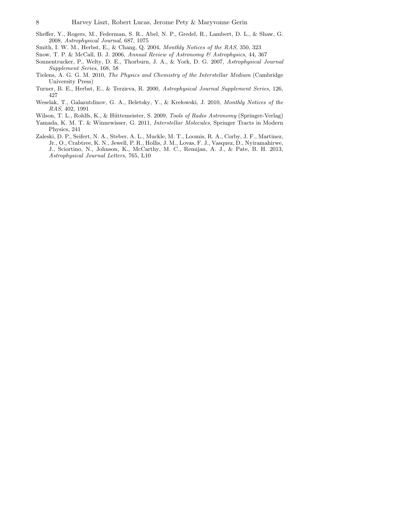- <span id="page-7-7"></span>Sheffer, Y., Rogers, M., Federman, S. R., Abel, N. P., Gredel, R., Lambert, D. L., & Shaw, G. 2008, Astrophysical Journal, 687, 1075
- <span id="page-7-5"></span>Smith, I. W. M., Herbst, E., & Chang, Q. 2004, Monthly Notices of the RAS, 350, 323
- <span id="page-7-0"></span>Snow, T. P. & McCall, B. J. 2006, Annual Review of Astronomy & Astrophysics, 44, 367
- <span id="page-7-8"></span>Sonnentrucker, P., Welty, D. E., Thorburn, J. A., & York, D. G. 2007, Astrophysical Journal Supplement Series, 168, 58
- <span id="page-7-1"></span>Tielens, A. G. G. M. 2010, The Physics and Chemistry of the Interstellar Medium (Cambridge University Press)
- <span id="page-7-9"></span>Turner, B. E., Herbst, E., & Terzieva, R. 2000, Astrophysical Journal Supplement Series, 126, 427
- <span id="page-7-4"></span>Weselak, T., Galazutdinov, G. A., Beletsky, Y., & Krelowski, J. 2010, Monthly Notices of the RAS, 402, 1991
- <span id="page-7-3"></span>Wilson, T. L., Rohlfs, K., & Hüttemeister, S. 2009, Tools of Radio Astronomy (Springer-Verlag)
- <span id="page-7-2"></span>Yamada, K. M. T. & Winnewisser, G. 2011, Interstellar Molecules, Springer Tracts in Modern Physics, 241
- <span id="page-7-6"></span>Zaleski, D. P., Seifert, N. A., Steber, A. L., Muckle, M. T., Loomis, R. A., Corby, J. F., Martinez, Jr., O., Crabtree, K. N., Jewell, P. R., Hollis, J. M., Lovas, F. J., Vasquez, D., Nyiramahirwe, J., Sciortino, N., Johnson, K., McCarthy, M. C., Remijan, A. J., & Pate, B. H. 2013, Astrophysical Journal Letters, 765, L10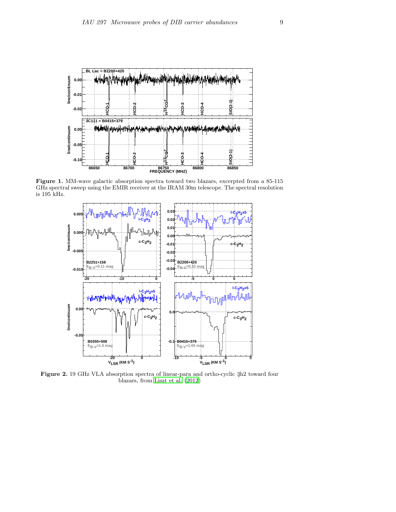

Figure 1. MM-wave galactic absorption spectra toward two blazars, excerpted from a 85-115 GHz spectral sweep using the EMIR receiver at the IRAM 30m telescope. The spectral resolution is 195 kHz.



Figure 2. 19 GHz VLA absorption spectra of linear-para and ortho-cyclic 3h2 toward four blazars, from [Liszt et al. \(2012\)](#page-6-1)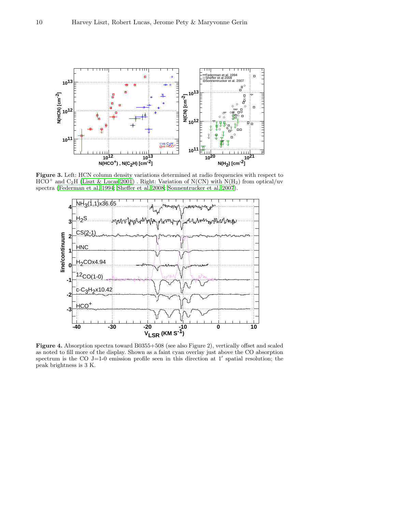

Figure 3. Left: HCN column density variations determined at radio frequencies with respect to  $\text{HCO}^+$  and  $\text{C}_2\text{H}$  [\(Liszt & Lucas 2001\)](#page-6-14) . Right: Variation of N(CN) with N(H<sub>2</sub>) from optical/uv spectra [\(Federman et al. 1994;](#page-6-19) [Sheffer et al. 2008;](#page-7-7) [Sonnentrucker et al. 2007](#page-7-8)).



Figure 4. Absorption spectra toward B0355+508 (see also Figure 2), vertically offset and scaled as noted to fill more of the display. Shown as a faint cyan overlay just above the CO absorption spectrum is the CO  $J=1-0$  emission profile seen in this direction at 1' spatial resolution; the peak brightness is 3 K.